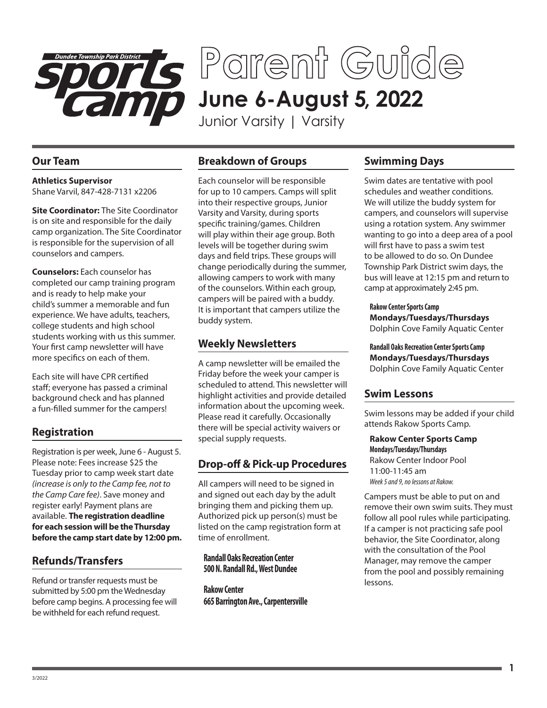

**June 6-August 5, 2022 Parent Guide**

Junior Varsity | Varsity

#### **Our Team**

**Athletics Supervisor** Shane Varvil, 847-428-7131 x2206

**Site Coordinator:** The Site Coordinator is on site and responsible for the daily camp organization. The Site Coordinator is responsible for the supervision of all counselors and campers.

**Counselors:** Each counselor has completed our camp training program and is ready to help make your child's summer a memorable and fun experience. We have adults, teachers, college students and high school students working with us this summer. Your first camp newsletter will have more specifics on each of them.

Each site will have CPR certified staff; everyone has passed a criminal background check and has planned a fun-filled summer for the campers!

#### **Registration**

Registration is per week, June 6 - August 5. Please note: Fees increase \$25 the Tuesday prior to camp week start date *(increase is only to the Camp fee, not to the Camp Care fee)*. Save money and register early! Payment plans are available. **The registration deadline for each session will be the Thursday before the camp start date by 12:00 pm.**

### **Refunds/Transfers**

Refund or transfer requests must be submitted by 5:00 pm the Wednesday before camp begins. A processing fee will be withheld for each refund request.

### **Breakdown of Groups**

Each counselor will be responsible for up to 10 campers. Camps will split into their respective groups, Junior Varsity and Varsity, during sports specific training/games. Children will play within their age group. Both levels will be together during swim days and field trips. These groups will change periodically during the summer, allowing campers to work with many of the counselors. Within each group, campers will be paired with a buddy. It is important that campers utilize the buddy system.

### **Weekly Newsletters**

A camp newsletter will be emailed the Friday before the week your camper is scheduled to attend. This newsletter will highlight activities and provide detailed information about the upcoming week. Please read it carefully. Occasionally there will be special activity waivers or special supply requests.

# **Drop-off & Pick-up Procedures**

All campers will need to be signed in and signed out each day by the adult bringing them and picking them up. Authorized pick up person(s) must be listed on the camp registration form at time of enrollment.

#### **Randall Oaks Recreation Center 500 N. Randall Rd., West Dundee**

**Rakow Center 665 Barrington Ave., Carpentersville**

## **Swimming Days**

Swim dates are tentative with pool schedules and weather conditions. We will utilize the buddy system for campers, and counselors will supervise using a rotation system. Any swimmer wanting to go into a deep area of a pool will first have to pass a swim test to be allowed to do so. On Dundee Township Park District swim days, the bus will leave at 12:15 pm and return to camp at approximately 2:45 pm.

**Rakow Center Sports Camp Mondays/Tuesdays/Thursdays** Dolphin Cove Family Aquatic Center

**Randall Oaks Recreation Center Sports Camp Mondays/Tuesdays/Thursdays** Dolphin Cove Family Aquatic Center

### **Swim Lessons**

Swim lessons may be added if your child attends Rakow Sports Camp.

**Rakow Center Sports Camp Mondays/Tuesdays/Thursdays**  Rakow Center Indoor Pool 11:00-11:45 am *Week 5 and 9, no lessons at Rakow.*

Campers must be able to put on and remove their own swim suits. They must follow all pool rules while participating. If a camper is not practicing safe pool behavior, the Site Coordinator, along with the consultation of the Pool Manager, may remove the camper from the pool and possibly remaining lessons.

**1**